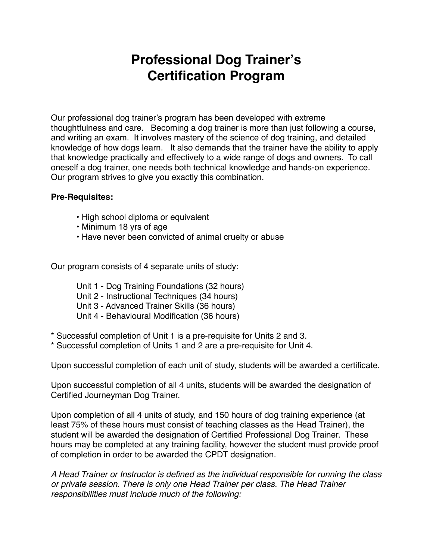# **Professional Dog Trainer's Certification Program**

Our professional dog trainer's program has been developed with extreme thoughtfulness and care. Becoming a dog trainer is more than just following a course, and writing an exam. It involves mastery of the science of dog training, and detailed knowledge of how dogs learn. It also demands that the trainer have the ability to apply that knowledge practically and effectively to a wide range of dogs and owners. To call oneself a dog trainer, one needs both technical knowledge and hands-on experience. Our program strives to give you exactly this combination.

#### **Pre-Requisites:**

- High school diploma or equivalent
- Minimum 18 yrs of age
- Have never been convicted of animal cruelty or abuse

Our program consists of 4 separate units of study:

- Unit 1 Dog Training Foundations (32 hours)
- Unit 2 Instructional Techniques (34 hours)
- Unit 3 Advanced Trainer Skills (36 hours)
- Unit 4 Behavioural Modification (36 hours)
- \* Successful completion of Unit 1 is a pre-requisite for Units 2 and 3.
- \* Successful completion of Units 1 and 2 are a pre-requisite for Unit 4.

Upon successful completion of each unit of study, students will be awarded a certificate.

Upon successful completion of all 4 units, students will be awarded the designation of Certified Journeyman Dog Trainer.

Upon completion of all 4 units of study, and 150 hours of dog training experience (at least 75% of these hours must consist of teaching classes as the Head Trainer), the student will be awarded the designation of Certified Professional Dog Trainer. These hours may be completed at any training facility, however the student must provide proof of completion in order to be awarded the CPDT designation.

*A Head Trainer or Instructor is defined as the individual responsible for running the class or private session. There is only one Head Trainer per class. The Head Trainer responsibilities must include much of the following:*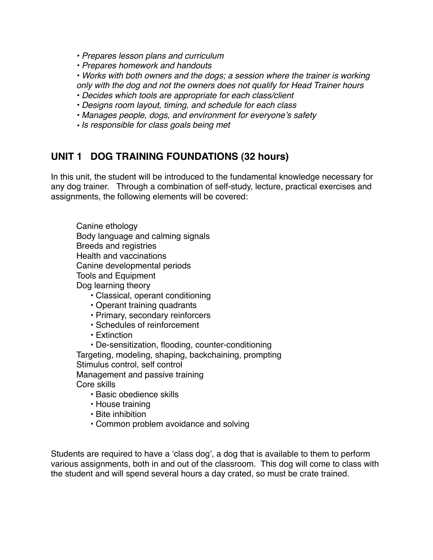*• Prepares lesson plans and curriculum* 

*• Prepares homework and handouts* 

*• Works with both owners and the dogs; a session where the trainer is working only with the dog and not the owners does not qualify for Head Trainer hours* 

- *Decides which tools are appropriate for each class/client*
- *Designs room layout, timing, and schedule for each class*
- *Manages people, dogs, and environment for everyone*'*s safety*
- *• Is responsible for class goals being met*

#### **UNIT 1 DOG TRAINING FOUNDATIONS (32 hours)**

In this unit, the student will be introduced to the fundamental knowledge necessary for any dog trainer. Through a combination of self-study, lecture, practical exercises and assignments, the following elements will be covered:

Canine ethology Body language and calming signals Breeds and registries Health and vaccinations Canine developmental periods Tools and Equipment Dog learning theory

- Classical, operant conditioning
- Operant training quadrants
- Primary, secondary reinforcers
- Schedules of reinforcement
- Extinction
- De-sensitization, flooding, counter-conditioning

Targeting, modeling, shaping, backchaining, prompting Stimulus control, self control

Management and passive training

Core skills

- . Basic obedience skills
- House training
- Bite inhibition
- Common problem avoidance and solving

Students are required to have a ʻclass dog', a dog that is available to them to perform various assignments, both in and out of the classroom. This dog will come to class with the student and will spend several hours a day crated, so must be crate trained.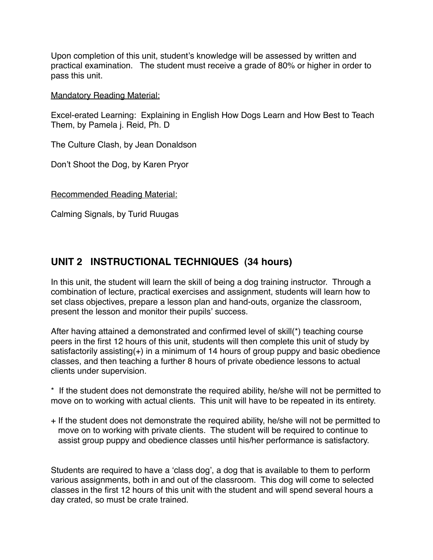Upon completion of this unit, student's knowledge will be assessed by written and practical examination. The student must receive a grade of 80% or higher in order to pass this unit.

Mandatory Reading Material:

Excel-erated Learning: Explaining in English How Dogs Learn and How Best to Teach Them, by Pamela j. Reid, Ph. D

The Culture Clash, by Jean Donaldson

Don't Shoot the Dog, by Karen Pryor

Recommended Reading Material:

Calming Signals, by Turid Ruugas

### **UNIT 2 INSTRUCTIONAL TECHNIQUES (34 hours)**

In this unit, the student will learn the skill of being a dog training instructor. Through a combination of lecture, practical exercises and assignment, students will learn how to set class objectives, prepare a lesson plan and hand-outs, organize the classroom, present the lesson and monitor their pupils' success.

After having attained a demonstrated and confirmed level of skill(\*) teaching course peers in the first 12 hours of this unit, students will then complete this unit of study by satisfactorily assisting(+) in a minimum of 14 hours of group puppy and basic obedience classes, and then teaching a further 8 hours of private obedience lessons to actual clients under supervision.

\* If the student does not demonstrate the required ability, he/she will not be permitted to move on to working with actual clients. This unit will have to be repeated in its entirety.

+ If the student does not demonstrate the required ability, he/she will not be permitted to move on to working with private clients. The student will be required to continue to assist group puppy and obedience classes until his/her performance is satisfactory.

Students are required to have a ʻclass dog', a dog that is available to them to perform various assignments, both in and out of the classroom. This dog will come to selected classes in the first 12 hours of this unit with the student and will spend several hours a day crated, so must be crate trained.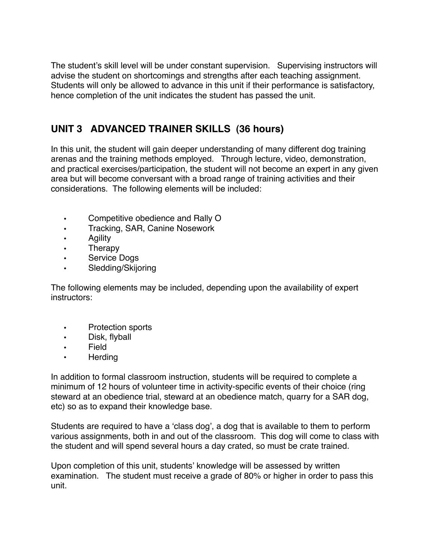The student's skill level will be under constant supervision. Supervising instructors will advise the student on shortcomings and strengths after each teaching assignment. Students will only be allowed to advance in this unit if their performance is satisfactory, hence completion of the unit indicates the student has passed the unit.

## **UNIT 3 ADVANCED TRAINER SKILLS (36 hours)**

In this unit, the student will gain deeper understanding of many different dog training arenas and the training methods employed. Through lecture, video, demonstration, and practical exercises/participation, the student will not become an expert in any given area but will become conversant with a broad range of training activities and their considerations. The following elements will be included:

- Competitive obedience and Rally O
- Tracking, SAR, Canine Nosework
- Agility
- Therapy
- Service Dogs
- Sledding/Skijoring

The following elements may be included, depending upon the availability of expert instructors:

- Protection sports
- Disk, flyball
- Field
- Herding

In addition to formal classroom instruction, students will be required to complete a minimum of 12 hours of volunteer time in activity-specific events of their choice (ring steward at an obedience trial, steward at an obedience match, quarry for a SAR dog, etc) so as to expand their knowledge base.

Students are required to have a ʻclass dog', a dog that is available to them to perform various assignments, both in and out of the classroom. This dog will come to class with the student and will spend several hours a day crated, so must be crate trained.

Upon completion of this unit, students' knowledge will be assessed by written examination. The student must receive a grade of 80% or higher in order to pass this unit.